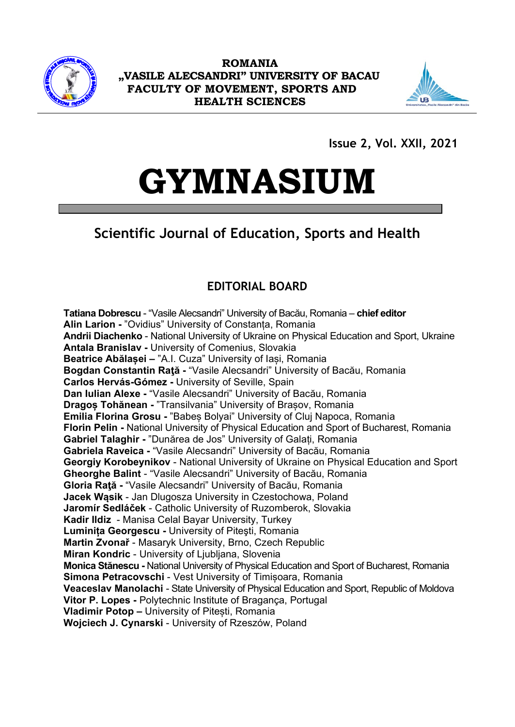

**ROMANIA "VASILE ALECSANDRI" UNIVERSITY OF BACAU FACULTY OF MOVEMENT, SPORTS AND HEALTH SCIENCES**



**Issue 2, Vol. XXII, 2021**

# **GYMNASIUM**

# **Scientific Journal of Education, Sports and Health**

### **EDITORIAL BOARD**

**Tatiana Dobrescu** - "Vasile Alecsandri" University of Bacău, Romania – **chief editor Alin Larion -** "Ovidius" University of Constanța, Romania **Andrii Diachenko** - National University of Ukraine on Physical Education and Sport, Ukraine **Antala Branislav -** University of Comenius, Slovakia **Beatrice Abălașei –** "A.I. Cuza" University of Iași, Romania **Bogdan Constantin Raţă -** "Vasile Alecsandri" University of Bacău, Romania **Carlos Hervás-Gómez -** University of Seville, Spain **Dan Iulian Alexe -** "Vasile Alecsandri" University of Bacău, Romania **Dragoș Tohănean -** "Transilvania" University of Brașov, Romania **Emilia Florina Grosu -** "Babeș Bolyai" University of Cluj Napoca, Romania **Florin Pelin -** National University of Physical Education and Sport of Bucharest, Romania **Gabriel Talaghir -** "Dunărea de Jos" University of Galați, Romania **Gabriela Raveica -** "Vasile Alecsandri" University of Bacău, Romania **Georgiy Korobeynikov** - National University of Ukraine on Physical Education and Sport **Gheorghe Balint** - "Vasile Alecsandri" University of Bacău, Romania **Gloria Raţă -** "Vasile Alecsandri" University of Bacău, Romania **Jacek Wąsik** - Jan Dlugosza University in Czestochowa, Poland **Jaromír Sedláček** - Catholic University of Ruzomberok, Slovakia **Kadir Ildiz** - Manisa Celal Bayar University, Turkey **Luminița Georgescu -** University of Piteşti, Romania **Martin Zvonař** - Masaryk University, Brno, Czech Republic **Miran Kondric** - University of Ljubljana, Slovenia **Monica Stănescu -** National University of Physical Education and Sport of Bucharest, Romania **Simona Petracovschi** - Vest University of Timișoara, Romania **Veaceslav Manolachi** - State University of Physical Education and Sport, Republic of Moldova **Vitor P. Lopes -** Polytechnic Institute of Bragança, Portugal **Vladimir Potop –** University of Pitești, Romania **Wojciech J. Cynarski** - University of Rzeszów, Poland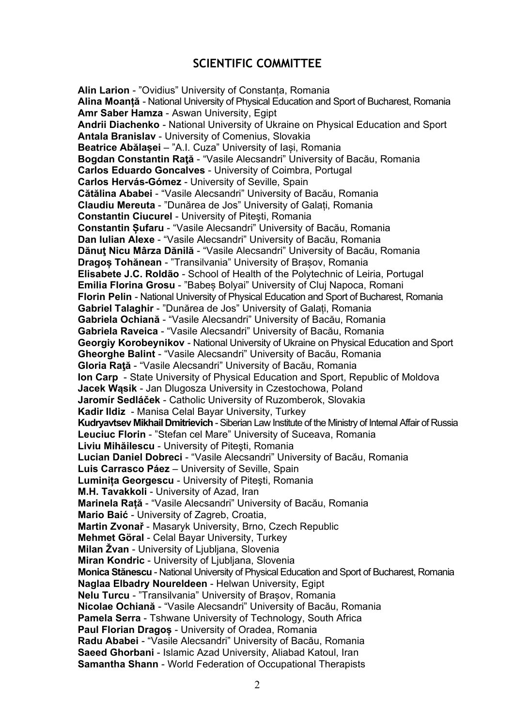#### **SCIENTIFIC COMMITTEE**

**Alin Larion** - "Ovidius" University of Constanța, Romania **Alina Moanță** - National University of Physical Education and Sport of Bucharest, Romania **Amr Saber Hamza** - Aswan University, Egipt **Andrii Diachenko** - National University of Ukraine on Physical Education and Sport **Antala Branislav** - University of Comenius, Slovakia **Beatrice Abălașei** – "A.I. Cuza" University of Iași, Romania **Bogdan Constantin Raţă** - "Vasile Alecsandri" University of Bacău, Romania **Carlos Eduardo Goncalves** - University of Coimbra, Portugal **Carlos Hervás-Gómez** - University of Seville, Spain **Cătălina Ababei** - "Vasile Alecsandri" University of Bacău, Romania **Claudiu Mereuta** - "Dunărea de Jos" University of Galați, Romania **Constantin Ciucurel** - University of Piteşti, Romania **Constantin Șufaru** - "Vasile Alecsandri" University of Bacău, Romania **Dan Iulian Alexe** - "Vasile Alecsandri" University of Bacău, Romania **Dănuţ Nicu Mârza Dănilă** - "Vasile Alecsandri" University of Bacău, Romania **Dragoș Tohănean** - "Transilvania" University of Brașov, Romania **Elisabete J.C. Roldão** - School of Health of the Polytechnic of Leiria, Portugal **Emilia Florina Grosu** - "Babeș Bolyai" University of Cluj Napoca, Romani **Florin Pelin** - National University of Physical Education and Sport of Bucharest, Romania **Gabriel Talaghir** - "Dunărea de Jos" University of Galați, Romania **Gabriela Ochiană** - "Vasile Alecsandri" University of Bacău, Romania **Gabriela Raveica** - "Vasile Alecsandri" University of Bacău, Romania **Georgiy Korobeynikov** - National University of Ukraine on Physical Education and Sport **Gheorghe Balint** - "Vasile Alecsandri" University of Bacău, Romania **Gloria Raţă** - "Vasile Alecsandri" University of Bacău, Romania **Ion Carp** - State University of Physical Education and Sport, Republic of Moldova **Jacek Wąsik** - Jan Dlugosza University in Czestochowa, Poland **Jaromír Sedláček** - Catholic University of Ruzomberok, Slovakia **Kadir Ildiz** - Manisa Celal Bayar University, Turkey Kudryavtsev Mikhail Dmitrievich - Siberian Law Institute of the Ministry of Internal Affair of Russia **Leuciuc Florin** - "Stefan cel Mare" University of Suceava, Romania **Liviu Mihăilescu** - University of Piteşti, Romania **Lucian Daniel Dobreci** - "Vasile Alecsandri" University of Bacău, Romania **Luis Carrasco Páez** – University of Seville, Spain **Luminița Georgescu** - University of Piteşti, Romania **M.H. Tavakkoli** - University of Azad, Iran **Marinela Rață** - "Vasile Alecsandri" University of Bacău, Romania **Mario Baić** - University of Zagreb, Croatia, **Martin Zvonař** - Masaryk University, Brno, Czech Republic **Mehmet Göral** - Celal Bayar University, Turkey **Milan Žvan** - University of Ljubljana, Slovenia **Miran Kondric** - University of Ljubljana, Slovenia **Monica Stănescu** - National University of Physical Education and Sport of Bucharest, Romania **Naglaa Elbadry Noureldeen** - Helwan University, Egipt **Nelu Turcu** - "Transilvania" University of Brașov, Romania **Nicolae Ochiană** - "Vasile Alecsandri" University of Bacău, Romania **Pamela Serra** - Tshwane University of Technology, South Africa **Paul Florian Dragoș** - University of Oradea, Romania **Radu Ababei** - "Vasile Alecsandri" University of Bacău, Romania **Saeed Ghorbani** - Islamic Azad University, Aliabad Katoul, Iran **Samantha Shann** - World Federation of Occupational Therapists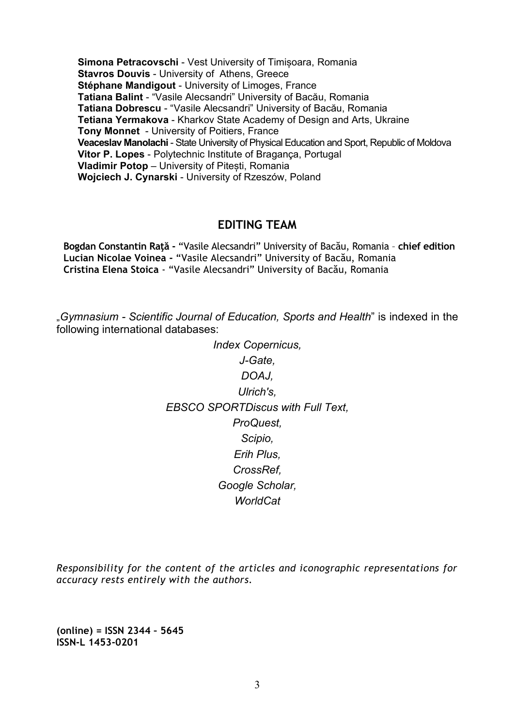**Simona Petracovschi** - Vest University of Timișoara, Romania **Stavros Douvis** - University of Athens, Greece **Stéphane Mandigout** - University of Limoges, France **Tatiana Balint** - "Vasile Alecsandri" University of Bacău, Romania **Tatiana Dobrescu** - "Vasile Alecsandri" University of Bacău, Romania **Tetiana Yermakova** - Kharkov State Academy of Design and Arts, Ukraine **Tony Monnet** - University of Poitiers, France **Veaceslav Manolachi** - State University of Physical Education and Sport, Republic of Moldova **Vitor P. Lopes** - Polytechnic Institute of Bragança, Portugal **Vladimir Potop** – University of Pitești, Romania **Wojciech J. Cynarski** - University of Rzeszów, Poland

#### **EDITING TEAM**

**Bogdan Constantin Raţă -** "Vasile Alecsandri" University of Bacău, Romania – **chief edition Lucian Nicolae Voinea -** "Vasile Alecsandri" University of Bacău, Romania **Cristina Elena Stoica** - "Vasile Alecsandri" University of Bacău, Romania

"*Gymnasium - Scientific Journal of Education, Sports and Health*" is indexed in the following international databases:

> *Index Copernicus, J-Gate, [DOAJ,](http://www.doaj.org/doaj?func=openurl&issn=14530201&genre=journal&uiLanguage=en) Ulrich's, [EBSCO SPORTDiscus with Full Text,](http://www.ebscohost.com/titleLists/s4h-coverage.pdf) ProQuest, Scipio, Erih Plus, CrossRef, Google Scholar, WorldCat*

*Responsibility for the content of the articles and iconographic representations for accuracy rests entirely with the authors.*

**(online) = ISSN 2344 – 5645 ISSN-L 1453-0201**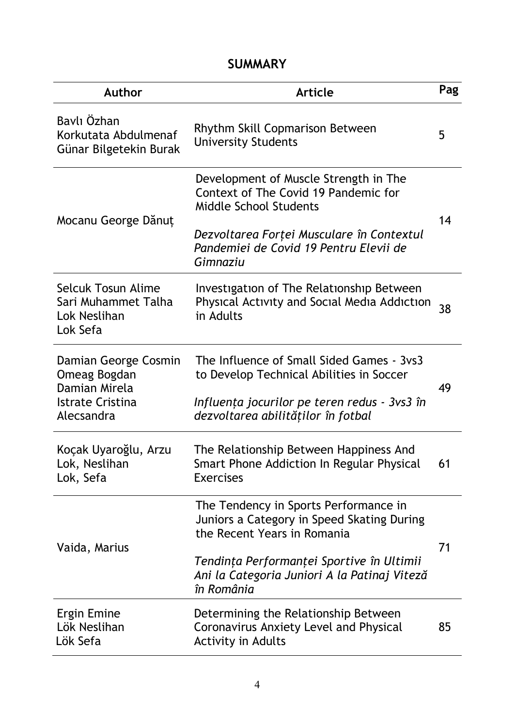## **SUMMARY**

| <b>Author</b>                                                                                  | <b>Article</b>                                                                                                                                                                                                                | Pag |
|------------------------------------------------------------------------------------------------|-------------------------------------------------------------------------------------------------------------------------------------------------------------------------------------------------------------------------------|-----|
| Baylı Özhan<br>Korkutata Abdulmenaf<br>Günar Bilgetekin Burak                                  | Rhythm Skill Copmarison Between<br><b>University Students</b>                                                                                                                                                                 | 5   |
| Mocanu George Dănuț                                                                            | Development of Muscle Strength in The<br>Context of The Covid 19 Pandemic for<br><b>Middle School Students</b><br>Dezvoltarea Forței Musculare în Contextul<br>Pandemiei de Covid 19 Pentru Elevii de<br>Gimnaziu             | 14  |
| Selcuk Tosun Alime<br>Sari Muhammet Talha<br>Lok Neslihan<br>Lok Sefa                          | Investigation of The Relationship Between<br>Physical Activity and Social Media Addiction<br>in Adults                                                                                                                        | 38  |
| Damian George Cosmin<br>Omeag Bogdan<br>Damian Mirela<br><b>Istrate Cristina</b><br>Alecsandra | The Influence of Small Sided Games - 3ys3<br>to Develop Technical Abilities in Soccer<br>Influența jocurilor pe teren redus - 3vs3 în<br>dezvoltarea abilităților în fotbal                                                   | 49  |
| Koçak Uyaroğlu, Arzu<br>Lok, Neslihan<br>Lok, Sefa                                             | The Relationship Between Happiness And<br>Smart Phone Addiction In Regular Physical<br><b>Exercises</b>                                                                                                                       | 61  |
| Vaida, Marius                                                                                  | The Tendency in Sports Performance in<br>Juniors a Category in Speed Skating During<br>the Recent Years in Romania<br>Tendința Performanței Sportive în Ultimii<br>Ani la Categoria Juniori A la Patinaj Viteză<br>în România | 71  |
| <b>Ergin Emine</b><br>Lök Neslihan<br>Lök Sefa                                                 | Determining the Relationship Between<br>Coronavirus Anxiety Level and Physical<br><b>Activity in Adults</b>                                                                                                                   | 85  |